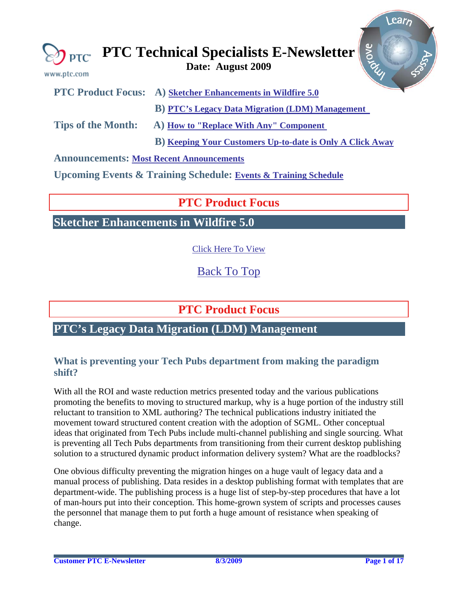<span id="page-0-0"></span>

| www.ptc.com                                     | grove<br>$\bigotimes_{\mathsf{PTC}}$ PTC Technical Specialists E-Newsletter |
|-------------------------------------------------|-----------------------------------------------------------------------------|
|                                                 | <b>PTC Product Focus:</b> A) Sketcher Enhancements in Wildfire 5.0          |
|                                                 | <b>B)</b> PTC's Legacy Data Migration (LDM) Management                      |
| <b>Tips of the Month:</b>                       | A) How to "Replace With Any" Component                                      |
|                                                 | <b>B)</b> Keeping Your Customers Up-to-date is Only A Click Away            |
| <b>Announcements: Most Recent Announcements</b> |                                                                             |

**Upcoming Events & Training Schedule: [Events & Training Schedule](#page-15-0)**

# **PTC Product Focus**

**Sketcher Enhancements in Wildfire 5.0** 

[Click Here To View](http://members.shaw.ca/jpeng/newsletter/PTC_Technical_Specialists_E-Newsletter_2009_08_desktop.pdf)

[Back To Top](#page-0-0)

# **PTC Product Focus**

# **PTC's Legacy Data Migration (LDM) Management**

## **What is preventing your Tech Pubs department from making the paradigm shift?**

With all the ROI and waste reduction metrics presented today and the various publications promoting the benefits to moving to structured markup, why is a huge portion of the industry still reluctant to transition to XML authoring? The technical publications industry initiated the movement toward structured content creation with the adoption of SGML. Other conceptual ideas that originated from Tech Pubs include multi-channel publishing and single sourcing. What is preventing all Tech Pubs departments from transitioning from their current desktop publishing solution to a structured dynamic product information delivery system? What are the roadblocks?

One obvious difficulty preventing the migration hinges on a huge vault of legacy data and a manual process of publishing. Data resides in a desktop publishing format with templates that are department-wide. The publishing process is a huge list of step-by-step procedures that have a lot of man-hours put into their conception. This home-grown system of scripts and processes causes the personnel that manage them to put forth a huge amount of resistance when speaking of change.

Learn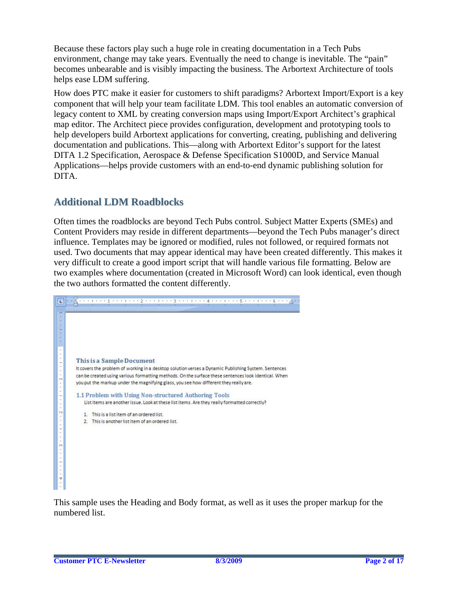Because these factors play such a huge role in creating documentation in a Tech Pubs environment, change may take years. Eventually the need to change is inevitable. The "pain" becomes unbearable and is visibly impacting the business. The Arbortext Architecture of tools helps ease LDM suffering.

How does PTC make it easier for customers to shift paradigms? Arbortext Import/Export is a key component that will help your team facilitate LDM. This tool enables an automatic conversion of legacy content to XML by creating conversion maps using Import/Export Architect's graphical map editor. The Architect piece provides configuration, development and prototyping tools to help developers build Arbortext applications for converting, creating, publishing and delivering documentation and publications. This—along with Arbortext Editor's support for the latest DITA 1.2 Specification, Aerospace & Defense Specification S1000D, and Service Manual Applications—helps provide customers with an end-to-end dynamic publishing solution for DITA.

## **Additional LDM Roadblocks**

Often times the roadblocks are beyond Tech Pubs control. Subject Matter Experts (SMEs) and Content Providers may reside in different departments—beyond the Tech Pubs manager's direct influence. Templates may be ignored or modified, rules not followed, or required formats not used. Two documents that may appear identical may have been created differently. This makes it very difficult to create a good import script that will handle various file formatting. Below are two examples where documentation (created in Microsoft Word) can look identical, even though the two authors formatted the content differently.



This sample uses the Heading and Body format, as well as it uses the proper markup for the numbered list.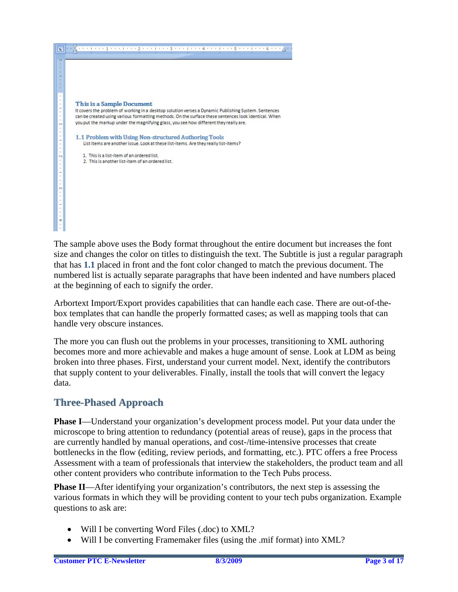

The sample above uses the Body format throughout the entire document but increases the font size and changes the color on titles to distinguish the text. The Subtitle is just a regular paragraph that has **1.1** placed in front and the font color changed to match the previous document. The numbered list is actually separate paragraphs that have been indented and have numbers placed at the beginning of each to signify the order.

Arbortext Import/Export provides capabilities that can handle each case. There are out-of-thebox templates that can handle the properly formatted cases; as well as mapping tools that can handle very obscure instances.

The more you can flush out the problems in your processes, transitioning to XML authoring becomes more and more achievable and makes a huge amount of sense. Look at LDM as being broken into three phases. First, understand your current model. Next, identify the contributors that supply content to your deliverables. Finally, install the tools that will convert the legacy data.

# **Three-Phased Approach**

**Phase I**—Understand your organization's development process model. Put your data under the microscope to bring attention to redundancy (potential areas of reuse), gaps in the process that are currently handled by manual operations, and cost-/time-intensive processes that create bottlenecks in the flow (editing, review periods, and formatting, etc.). PTC offers a free Process Assessment with a team of professionals that interview the stakeholders, the product team and all other content providers who contribute information to the Tech Pubs process.

**Phase II**—After identifying your organization's contributors, the next step is assessing the various formats in which they will be providing content to your tech pubs organization. Example questions to ask are:

- Will I be converting Word Files (.doc) to XML?
- Will I be converting Framemaker files (using the .mif format) into XML?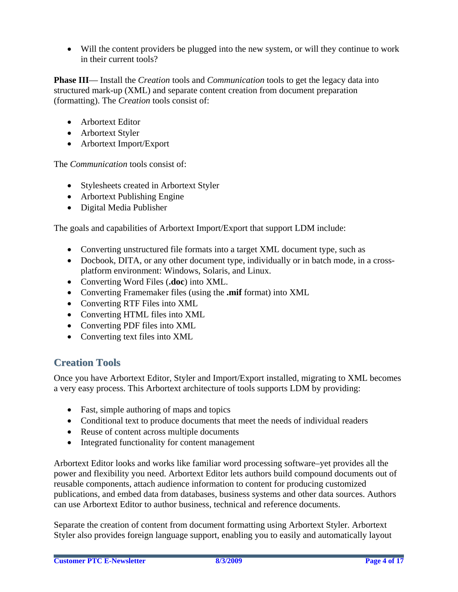• Will the content providers be plugged into the new system, or will they continue to work in their current tools?

**Phase III**— Install the *Creation* tools and *Communication* tools to get the legacy data into structured mark-up (XML) and separate content creation from document preparation (formatting). The *Creation* tools consist of:

- Arbortext Editor
- Arbortext Styler
- Arbortext Import/Export

The *Communication* tools consist of:

- Stylesheets created in Arbortext Styler
- Arbortext Publishing Engine
- Digital Media Publisher

The goals and capabilities of Arbortext Import/Export that support LDM include:

- Converting unstructured file formats into a target XML document type, such as
- Docbook, DITA, or any other document type, individually or in batch mode, in a crossplatform environment: Windows, Solaris, and Linux.
- Converting Word Files (**.doc**) into XML.
- Converting Framemaker files (using the **.mif** format) into XML
- Converting RTF Files into XML
- Converting HTML files into XML
- Converting PDF files into XML
- Converting text files into XML

## **Creation Tools**

Once you have Arbortext Editor, Styler and Import/Export installed, migrating to XML becomes a very easy process. This Arbortext architecture of tools supports LDM by providing:

- Fast, simple authoring of maps and topics
- Conditional text to produce documents that meet the needs of individual readers
- Reuse of content across multiple documents
- Integrated functionality for content management

Arbortext Editor looks and works like familiar word processing software–yet provides all the power and flexibility you need. Arbortext Editor lets authors build compound documents out of reusable components, attach audience information to content for producing customized publications, and embed data from databases, business systems and other data sources. Authors can use Arbortext Editor to author business, technical and reference documents.

Separate the creation of content from document formatting using Arbortext Styler. Arbortext Styler also provides foreign language support, enabling you to easily and automatically layout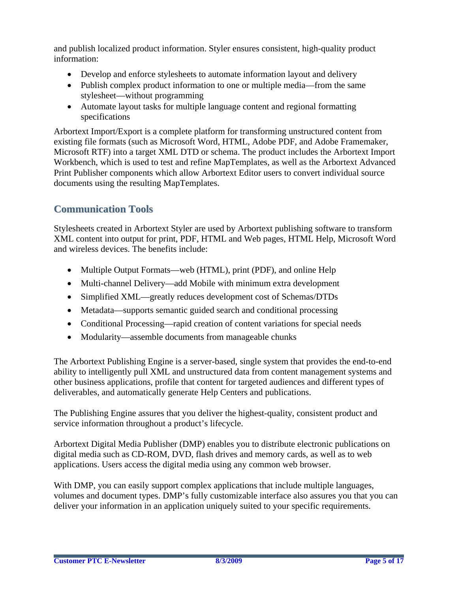and publish localized product information. Styler ensures consistent, high-quality product information:

- Develop and enforce stylesheets to automate information layout and delivery
- Publish complex product information to one or multiple media—from the same stylesheet—without programming
- Automate layout tasks for multiple language content and regional formatting specifications

Arbortext Import/Export is a complete platform for transforming unstructured content from existing file formats (such as Microsoft Word, HTML, Adobe PDF, and Adobe Framemaker, Microsoft RTF) into a target XML DTD or schema. The product includes the Arbortext Import Workbench, which is used to test and refine MapTemplates, as well as the Arbortext Advanced Print Publisher components which allow Arbortext Editor users to convert individual source documents using the resulting MapTemplates.

## **Communication Tools**

Stylesheets created in Arbortext Styler are used by Arbortext publishing software to transform XML content into output for print, PDF, HTML and Web pages, HTML Help, Microsoft Word and wireless devices. The benefits include:

- [Multiple Output Formats](http://www.ditausers.org/about_us/business_case/#outputs)—web (HTML), print (PDF), and online Help
- [Multi-channel Delivery—](http://www.ditausers.org/about_us/business_case/#multi)add Mobile with minimum extra development
- [Simplified XML](http://www.ditausers.org/about_us/business_case/#xml)—greatly reduces development cost of Schemas/DTDs
- [Metadata—](http://www.ditausers.org/about_us/business_case/#metadata)supports semantic guided search and conditional processing
- [Conditional Processing—](http://www.ditausers.org/about_us/business_case/#conditional)rapid creation of content variations for special needs
- [Modularity](http://www.ditausers.org/about_us/business_case/#modular)—assemble documents from manageable chunks

The Arbortext Publishing Engine is a server-based, single system that provides the end-to-end ability to intelligently pull XML and unstructured data from content management systems and other business applications, profile that content for targeted audiences and different types of deliverables, and automatically generate Help Centers and publications.

The Publishing Engine assures that you deliver the highest-quality, consistent product and service information throughout a product's lifecycle.

Arbortext Digital Media Publisher (DMP) enables you to distribute electronic publications on digital media such as CD-ROM, DVD, flash drives and memory cards, as well as to web applications. Users access the digital media using any common web browser.

With DMP, you can easily support complex applications that include multiple languages, volumes and document types. DMP's fully customizable interface also assures you that you can deliver your information in an application uniquely suited to your specific requirements.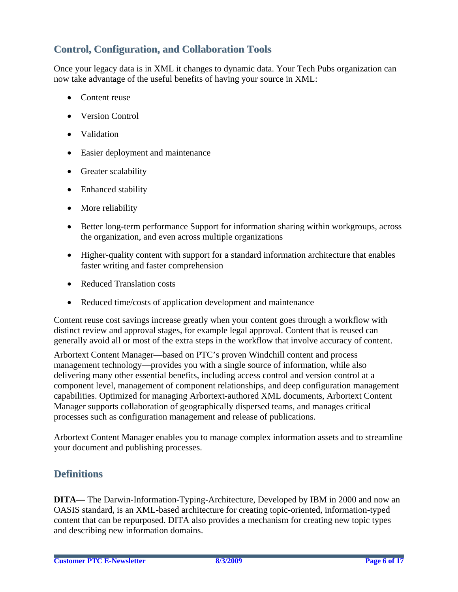## **Control, Configuration, and Collaboration Tools**

Once your legacy data is in XML it changes to dynamic data. Your Tech Pubs organization can now take advantage of the useful benefits of having your source in XML:

- Content reuse
- Version Control
- Validation
- Easier deployment and maintenance
- Greater scalability
- Enhanced stability
- More reliability
- Better long-term performance Support for information sharing within workgroups, across the organization, and even across multiple organizations
- Higher-quality content with support for a standard information architecture that enables faster writing and faster comprehension
- Reduced Translation costs
- Reduced time/costs of application development and maintenance

Content reuse cost savings increase greatly when your content goes through a workflow with distinct review and approval stages, for example legal approval. Content that is reused can generally avoid all or most of the extra steps in the workflow that involve accuracy of content.

Arbortext Content Manager—based on PTC's proven Windchill content and process management technology—provides you with a single source of information, while also delivering many other essential benefits, including access control and version control at a component level, management of component relationships, and deep configuration management capabilities. Optimized for managing Arbortext-authored XML documents, Arbortext Content Manager supports collaboration of geographically dispersed teams, and manages critical processes such as configuration management and release of publications.

Arbortext Content Manager enables you to manage complex information assets and to streamline your document and publishing processes.

## **Definitions**

**DITA—** The Darwin-Information-Typing-Architecture, Developed by IBM in 2000 and now an OASIS standard, is an XML-based architecture for creating topic-oriented, information-typed content that can be repurposed. DITA also provides a mechanism for creating new topic types and describing new information domains.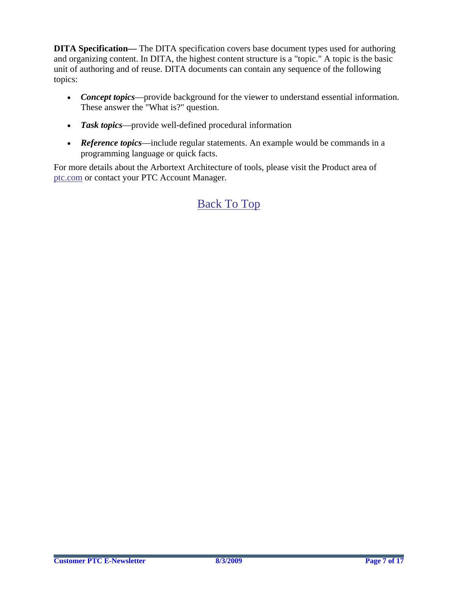**DITA Specification—** The DITA specification covers base document types used for authoring and organizing content. In DITA, the highest content structure is a "topic." A topic is the basic unit of authoring and of reuse. DITA documents can contain any sequence of the following topics:

- *Concept topics*—provide background for the viewer to understand essential information. These answer the "What is?" question.
- *Task topics*—provide well-defined procedural information
- *Reference topics***—include regular statements.** An example would be commands in a programming language or quick facts.

For more details about the Arbortext Architecture of tools, please visit the Product area of [ptc.com](http://www.ptc.com/) or contact your PTC Account Manager.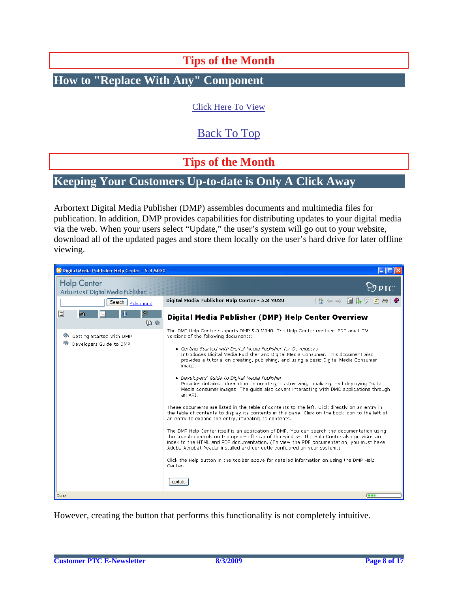**Tips of the Month** 

<span id="page-7-0"></span>**How to "Replace With Any" Component** 

[Click Here To View](http://members.shaw.ca/jpeng/newsletter/PTC_Technical_Specialists_E-Newsletter_2009_08_desktop.pdf)

# [Back To Top](#page-0-0)

**Tips of the Month** 

## **Keeping Your Customers Up-to-date is Only A Click Away**

Arbortext Digital Media Publisher (DMP) assembles documents and multimedia files for publication. In addition, DMP provides capabilities for distributing updates to your digital media via the web. When your users select "Update," the user's system will go out to your website, download all of the updated pages and store them locally on the user's hard drive for later offline viewing.



However, creating the button that performs this functionality is not completely intuitive.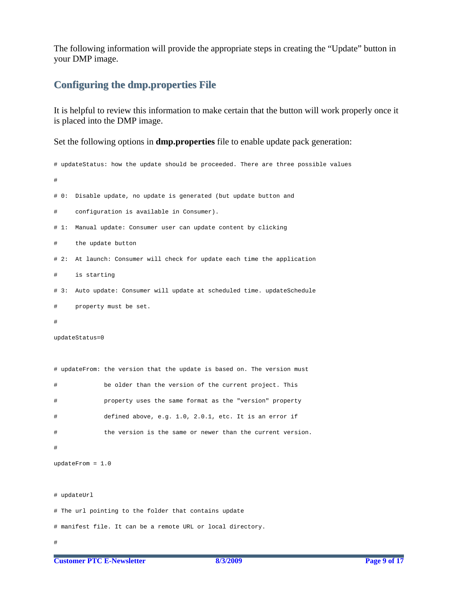The following information will provide the appropriate steps in creating the "Update" button in your DMP image.

## **Configuring the dmp.properties File**

It is helpful to review this information to make certain that the button will work properly once it is placed into the DMP image.

Set the following options in **dmp.properties** file to enable update pack generation:

```
# updateStatus: how the update should be proceeded. There are three possible values 
# 
# 0: Disable update, no update is generated (but update button and 
# configuration is available in Consumer). 
# 1: Manual update: Consumer user can update content by clicking 
     the update button
# 2: At launch: Consumer will check for update each time the application 
# is starting 
# 3: Auto update: Consumer will update at scheduled time. updateSchedule 
# property must be set. 
# 
updateStatus=0 
# updateFrom: the version that the update is based on. The version must 
# be older than the version of the current project. This 
# property uses the same format as the "version" property 
# defined above, e.g. 1.0, 2.0.1, etc. It is an error if 
# the version is the same or newer than the current version. 
# 
updateFrom = 1.0 
# updateUrl 
# The url pointing to the folder that contains update 
# manifest file. It can be a remote URL or local directory.
```

```
#
```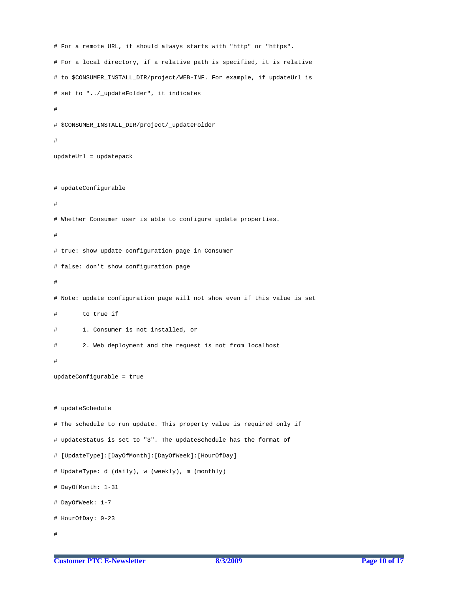```
# For a remote URL, it should always starts with "http" or "https".
# For a local directory, if a relative path is specified, it is relative 
# to $CONSUMER_INSTALL_DIR/project/WEB-INF. For example, if updateUrl is 
# set to "../_updateFolder", it indicates 
# 
# $CONSUMER_INSTALL_DIR/project/_updateFolder 
# 
updateUrl = updatepack 
# updateConfigurable 
# 
# Whether Consumer user is able to configure update properties. 
# 
# true: show update configuration page in Consumer 
# false: don't show configuration page 
# 
# Note: update configuration page will not show even if this value is set 
# to true if 
# 1. Consumer is not installed, or 
        2. Web deployment and the request is not from localhost
# 
updateConfigurable = true 
# updateSchedule 
# The schedule to run update. This property value is required only if 
# updateStatus is set to "3". The updateSchedule has the format of 
# [UpdateType]:[DayOfMonth]:[DayOfWeek]:[HourOfDay] 
# UpdateType: d (daily), w (weekly), m (monthly) 
# DayOfMonth: 1-31 
# DayOfWeek: 1-7 
# HourOfDay: 0-23 
#
```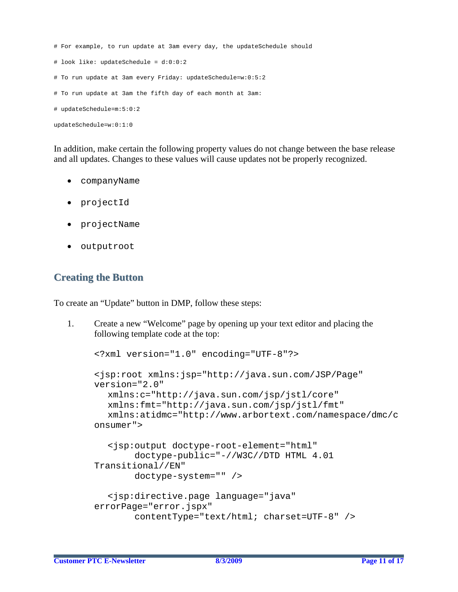```
# For example, to run update at 3am every day, the updateSchedule should 
# look like: updateSchedule = d:0:0:2 
# To run update at 3am every Friday: updateSchedule=w:0:5:2 
# To run update at 3am the fifth day of each month at 3am: 
# updateSchedule=m:5:0:2 
updateSchedule=w:0:1:0
```
In addition, make certain the following property values do not change between the base release and all updates. Changes to these values will cause updates not be properly recognized.

- companyName
- projectId
- projectName
- outputroot

### **Creating the Button**

To create an "Update" button in DMP, follow these steps:

1. Create a new "Welcome" page by opening up your text editor and placing the following template code at the top:

```
<?xml version="1.0" encoding="UTF-8"?> 
<jsp:root xmlns:jsp="http://java.sun.com/JSP/Page" 
version="2.0" 
   xmlns:c="http://java.sun.com/jsp/jstl/core" 
   xmlns:fmt="http://java.sun.com/jsp/jstl/fmt" 
   xmlns:atidmc="http://www.arbortext.com/namespace/dmc/c
onsumer"> 
   <jsp:output doctype-root-element="html" 
        doctype-public="-//W3C//DTD HTML 4.01 
Transitional//EN" 
        doctype-system="" /> 
   <jsp:directive.page language="java" 
errorPage="error.jspx" 
         contentType="text/html; charset=UTF-8" />
```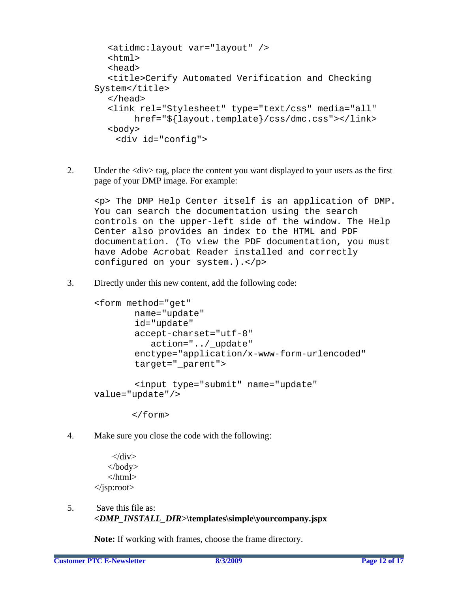```
 <atidmc:layout var="layout" /> 
   <html> 
   <head> 
   <title>Cerify Automated Verification and Checking 
System</title>
   </head> 
   <link rel="Stylesheet" type="text/css" media="all" 
         href="${layout.template}/css/dmc.css"></link> 
   <body> 
     <div id="config">
```
2. Under the <div> tag, place the content you want displayed to your users as the first page of your DMP image. For example:

<p> The DMP Help Center itself is an application of DMP. You can search the documentation using the search controls on the upper-left side of the window. The Help Center also provides an index to the HTML and PDF documentation. (To view the PDF documentation, you must have Adobe Acrobat Reader installed and correctly configured on your system.).</p>

3. Directly under this new content, add the following code:

```
<form method="get" 
         name="update" 
         id="update" 
         accept-charset="utf-8" 
             action="../_update" 
         enctype="application/x-www-form-urlencoded" 
         target="_parent"> 
         <input type="submit" name="update" 
value="update"/>
```
</form>

4. Make sure you close the code with the following:

 $\langle$ div $>$  </body> </html> </jsp:root>

5. Save this file as: *<DMP\_INSTALL\_DIR>***\templates\simple\yourcompany.jspx** 

**Note:** If working with frames, choose the frame directory.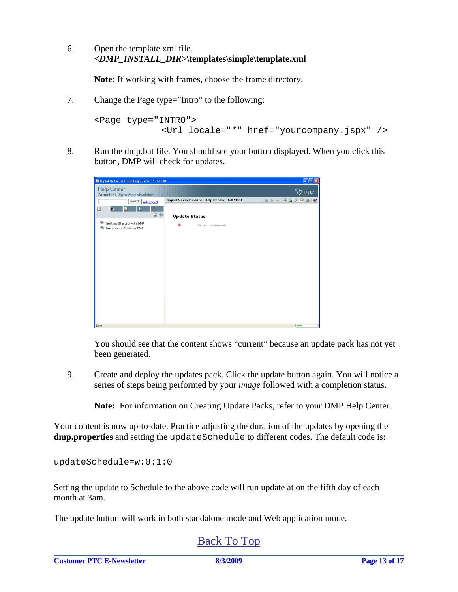6. Open the template.xml file. *<DMP\_INSTALL\_DIR>***\templates\simple\template.xml**

**Note:** If working with frames, choose the frame directory.

7. Change the Page type="Intro" to the following:

```
<Page type="INTRO"> 
              <Url locale="*" href="yourcompany.jspx" />
```
8. Run the dmp.bat file. You should see your button displayed. When you click this button, DMP will check for updates.

| K Digital Media Publisher Help Center - 5.3 M030<br>EDE  |                                                |                                                       |  |
|----------------------------------------------------------|------------------------------------------------|-------------------------------------------------------|--|
| <b>Help Center</b><br>Arbortext Digital Media Publisher  |                                                | $\otimes$ ptc.                                        |  |
| Search<br>Advanced<br>国<br>šĪ,<br>拍<br>ĥ.<br>D,          | Digital Media Publisher Help Center - 5.3 M030 | $\mathbf{a} \in \mathbb{R}$ . The set of $\mathbf{a}$ |  |
| $\omega \bullet$                                         | <b>Update Status</b>                           |                                                       |  |
| Getting Started with DMP<br>G<br>Developers Guide to DMP | Content is current.                            |                                                       |  |
|                                                          |                                                |                                                       |  |
|                                                          |                                                |                                                       |  |
|                                                          |                                                |                                                       |  |
|                                                          |                                                |                                                       |  |
|                                                          |                                                |                                                       |  |
|                                                          |                                                |                                                       |  |
|                                                          |                                                |                                                       |  |
| Done                                                     |                                                | $\sqrt{2}$                                            |  |
|                                                          |                                                |                                                       |  |

You should see that the content shows "current" because an update pack has not yet been generated.

9. Create and deploy the updates pack. Click the update button again. You will notice a series of steps being performed by your *image* followed with a completion status.

**Note:** For information on Creating Update Packs, refer to your DMP Help Center.

Your content is now up-to-date. Practice adjusting the duration of the updates by opening the **dmp.properties** and setting the updateSchedule to different codes. The default code is:

updateSchedule=w:0:1:0

Setting the update to Schedule to the above code will run update at on the fifth day of each month at 3am.

The update button will work in both standalone mode and Web application mode.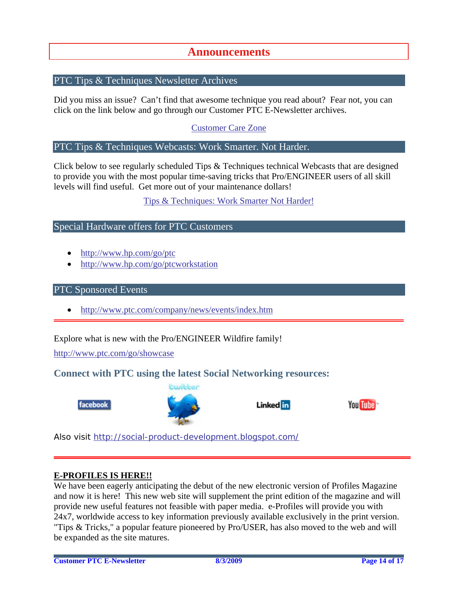## **Announcements**

#### <span id="page-13-0"></span>PTC Tips & Techniques Newsletter Archives

Did you miss an issue? Can't find that awesome technique you read about? Fear not, you can click on the link below and go through our Customer PTC E-Newsletter archives.

[Customer Care Zone](http://www.ptc.com/carezone/)

#### PTC Tips & Techniques Webcasts: Work Smarter. Not Harder.

Click below to see regularly scheduled Tips & Techniques technical Webcasts that are designed to provide you with the most popular time-saving tricks that Pro/ENGINEER users of all skill levels will find useful. Get more out of your maintenance dollars!

#### [Tips & Techniques: Work Smarter Not Harder!](http://www.ptc.com/appserver/it/icm/cda/template_lib/events/series.jsp?&im_dbkey=11442&icg_dbkey=141)

#### Special Hardware offers for PTC Customers

- <http://www.hp.com/go/ptc>
- <http://www.hp.com/go/ptcworkstation>

#### PTC Sponsored Events

• http://www.ptc.com/company/news/events/index.htm

Explore what is new with the Pro/ENGINEER Wildfire family!

<http://www.ptc.com/go/showcase>

#### **Connect with PTC using the latest Social Networking resources:**





Linked in



Also visit<http://social-product-development.blogspot.com/>

#### **E-PROFILES IS HERE!!**

We have been eagerly anticipating the debut of the new electronic version of Profiles Magazine and now it is here! This new web site will supplement the print edition of the magazine and will provide new useful features not feasible with paper media. e-Profiles will provide you with 24x7, worldwide access to key information previously available exclusively in the print version. "Tips & Tricks," a popular feature pioneered by Pro/USER, has also moved to the web and will be expanded as the site matures.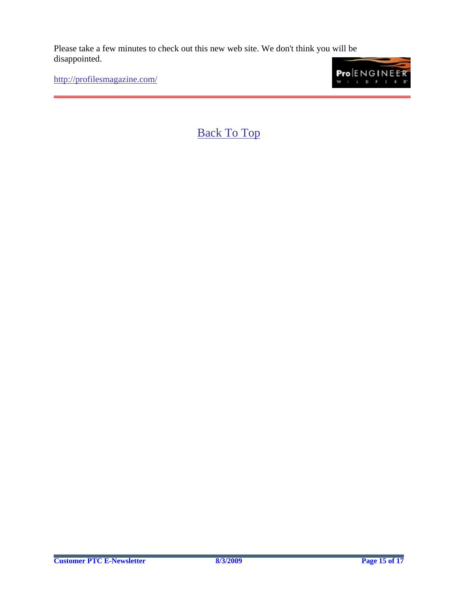Please take a few minutes to check out this new web site. We don't think you will be disappointed.

<http://profilesmagazine.com/>

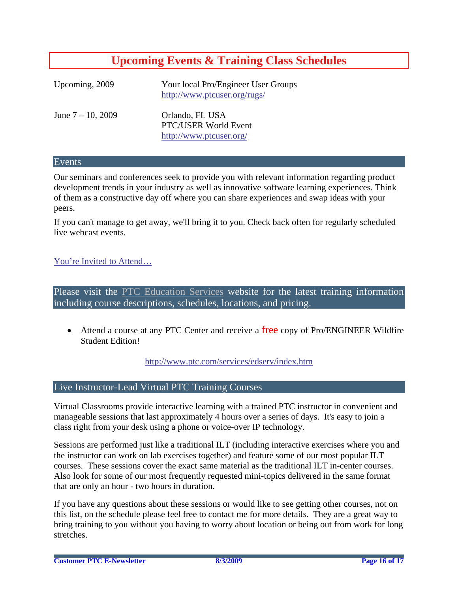# **Upcoming Events & Training Class Schedules**

<span id="page-15-0"></span>

| Upcoming, 2009       | Your local Pro/Engineer User Groups<br>http://www.ptcuser.org/rugs/ |
|----------------------|---------------------------------------------------------------------|
| June $7 - 10$ , 2009 | Orlando, FL USA<br>PTC/USER World Event<br>http://www.ptcuser.org/  |

#### Events

Our seminars and conferences seek to provide you with relevant information regarding product development trends in your industry as well as innovative software learning experiences. Think of them as a constructive day off where you can share experiences and swap ideas with your peers.

If you can't manage to get away, we'll bring it to you. Check back often for regularly scheduled live webcast events.

#### [You're Invited to Attend…](http://www.ptc.com/company/news/events/index.htm)

Please visit the [PTC Education Services](http://www.ptc.com/services/edserv/) website for the latest training information including course descriptions, schedules, locations, and pricing.

• Attend a course at any PTC Center and receive a free copy of Pro/ENGINEER Wildfire Student Edition!

<http://www.ptc.com/services/edserv/index.htm>

#### Live Instructor-Lead Virtual PTC Training Courses

Virtual Classrooms provide interactive learning with a trained PTC instructor in convenient and manageable sessions that last approximately 4 hours over a series of days. It's easy to join a class right from your desk using a phone or voice-over IP technology.

Sessions are performed just like a traditional ILT (including interactive exercises where you and the instructor can work on lab exercises together) and feature some of our most popular ILT courses. These sessions cover the exact same material as the traditional ILT in-center courses. Also look for some of our most frequently requested mini-topics delivered in the same format that are only an hour - two hours in duration.

If you have any questions about these sessions or would like to see getting other courses, not on this list, on the schedule please feel free to contact me for more details. They are a great way to bring training to you without you having to worry about location or being out from work for long stretches.